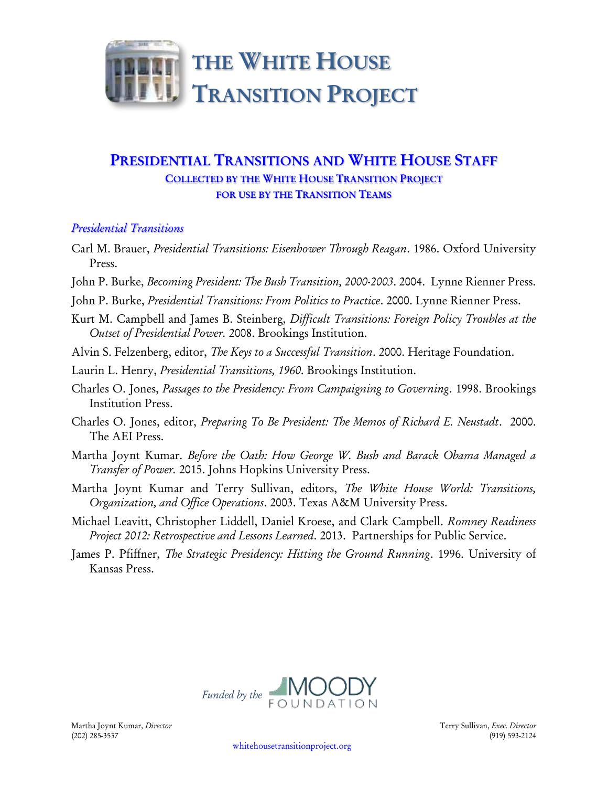

# **PRESIDENTIAL TRANSITIONS AND WHITE HOUSE STAFF COLLECTED BY THE WHITE HOUSE TRANSITION PROJECT FOR USE BY THE TRANSITION TEAMS**

## *Presidential Transitions*

- Carl M. Brauer, *Presidential Transitions: Eisenhower Through Reagan*. 1986. Oxford University Press.
- John P. Burke, *Becoming President: The Bush Transition, 2000-2003*. 2004. Lynne Rienner Press.
- John P. Burke, *Presidential Transitions: From Politics to Practice*. 2000. Lynne Rienner Press.
- Kurt M. Campbell and James B. Steinberg, *Difficult Transitions: Foreign Policy Troubles at the Outset of Presidential Power.* 2008. Brookings Institution.
- Alvin S. Felzenberg, editor, *The Keys to a Successful Transition*. 2000. Heritage Foundation.
- Laurin L. Henry, *Presidential Transitions, 1960*. Brookings Institution.
- Charles O. Jones, *Passages to the Presidency: From Campaigning to Governing*. 1998. Brookings Institution Press.
- Charles O. Jones, editor, *Preparing To Be President: The Memos of Richard E. Neustadt*. 2000. The AEI Press.
- Martha Joynt Kumar. *Before the Oath: How George W. Bush and Barack Obama Managed a Transfer of Power.* 2015. Johns Hopkins University Press.
- Martha Joynt Kumar and Terry Sullivan, editors, *The White House World: Transitions, Organization, and Office Operations*. 2003. Texas A&M University Press.
- Michael Leavitt, Christopher Liddell, Daniel Kroese, and Clark Campbell. *Romney Readiness Project 2012: Retrospective and Lessons Learned*. 2013. Partnerships for Public Service.
- James P. Pfiffner, *The Strategic Presidency: Hitting the Ground Running*. 1996. University of Kansas Press.

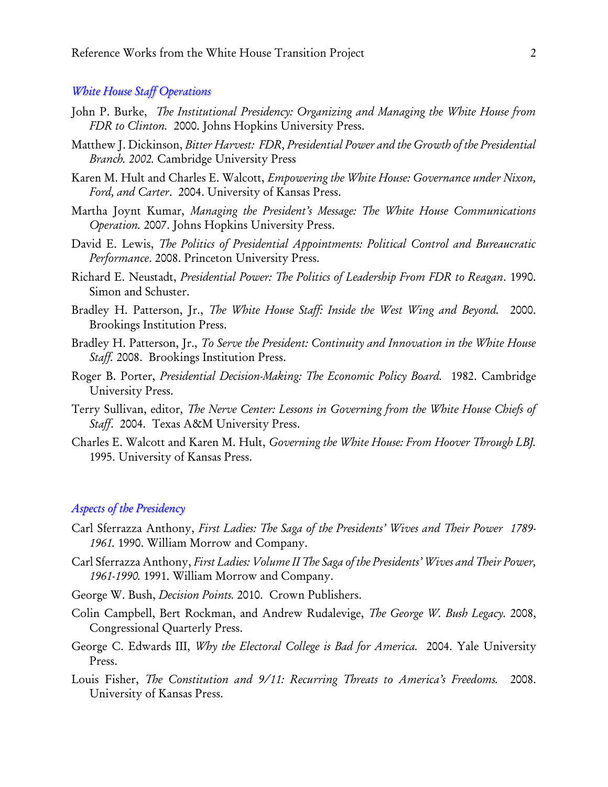#### *White House Staff Operations*

- John P. Burke, *The Institutional Presidency: Organizing and Managing the White House from FDR to Clinton.* 2000. Johns Hopkins University Press.
- Matthew J. Dickinson, *Bitter Harvest: FDR, Presidential Power and the Growth of the Presidential Branch. 2002.* Cambridge University Press
- Karen M. Hult and Charles E. Walcott, *Empowering the White House: Governance under Nixon, Ford, and Carter*. 2004. University of Kansas Press.
- Martha Joynt Kumar, *Managing the President's Message: The White House Communications Operation.* 2007. Johns Hopkins University Press.
- David E. Lewis, *The Politics of Presidential Appointments: Political Control and Bureaucratic Performance*. 2008. Princeton University Press.
- Richard E. Neustadt, *Presidential Power: The Politics of Leadership From FDR to Reagan*. 1990. Simon and Schuster.
- Bradley H. Patterson, Jr., *The White House Staff: Inside the West Wing and Beyond.* 2000. Brookings Institution Press.
- Bradley H. Patterson, Jr., *To Serve the President: Continuity and Innovation in the White House Staff.* 2008. Brookings Institution Press.
- Roger B. Porter, *Presidential Decision-Making: The Economic Policy Board.* 1982. Cambridge University Press.
- Terry Sullivan, editor, *The Nerve Center: Lessons in Governing from the White House Chiefs of Staff*. 2004. Texas A&M University Press.
- Charles E. Walcott and Karen M. Hult, *Governing the White House: From Hoover Through LBJ.*  1995. University of Kansas Press.

#### *Aspects of the Presidency*

- Carl Sferrazza Anthony, *First Ladies: The Saga of the Presidents' Wives and Their Power 1789- 1961.* 1990. William Morrow and Company.
- Carl Sferrazza Anthony, *First Ladies: Volume II The Saga of the Presidents' Wives and Their Power, 1961-1990.* 1991. William Morrow and Company.
- George W. Bush, *Decision Points.* 2010. Crown Publishers.
- Colin Campbell, Bert Rockman, and Andrew Rudalevige, *The George W. Bush Legacy.* 2008, Congressional Quarterly Press.
- George C. Edwards III, *Why the Electoral College is Bad for America.* 2004. Yale University Press.
- Louis Fisher, *The Constitution and 9/11: Recurring Threats to America's Freedoms.* 2008. University of Kansas Press.